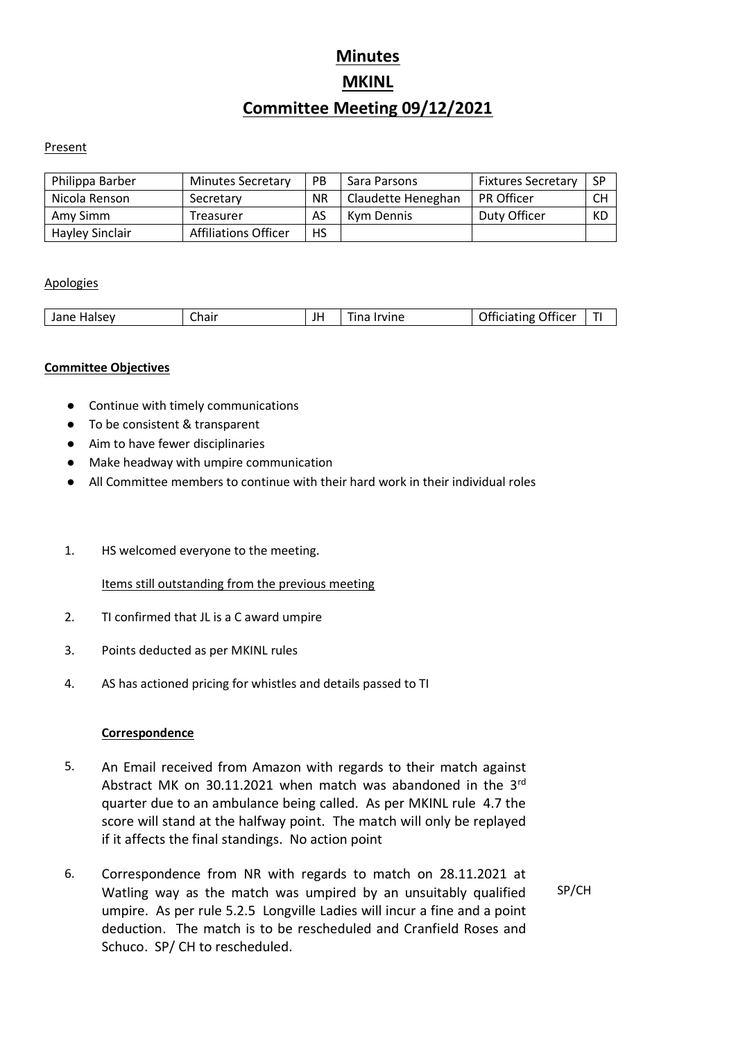# **Minutes MKINL Committee Meeting 09/12/2021**

#### **Present**

| Philippa Barber        | <b>Minutes Secretary</b> | <b>PB</b> | Sara Parsons       | <b>Fixtures Secretary</b> | -SP |
|------------------------|--------------------------|-----------|--------------------|---------------------------|-----|
| Nicola Renson          | Secretary                | <b>NR</b> | Claudette Heneghan | <b>PR Officer</b>         | CH  |
| Amy Simm               | Treasurer                | AS        | Kym Dennis         | Duty Officer              | КD  |
| <b>Hayley Sinclair</b> | Affiliations Officer     | HS        |                    |                           |     |

#### Apologies

|  | .<br>Halsev<br>Jane | Chair -<br>ا اما اب |  | ัvine<br>in: | Officer<br>ınp |  |
|--|---------------------|---------------------|--|--------------|----------------|--|
|--|---------------------|---------------------|--|--------------|----------------|--|

#### **Committee Objectives**

- Continue with timely communications
- To be consistent & transparent
- Aim to have fewer disciplinaries
- Make headway with umpire communication
- All Committee members to continue with their hard work in their individual roles
- 1. HS welcomed everyone to the meeting.

#### Items still outstanding from the previous meeting

- 2. TI confirmed that JL is a C award umpire
- 3. Points deducted as per MKINL rules
- 4. AS has actioned pricing for whistles and details passed to TI

#### **Correspondence**

- 5. An Email received from Amazon with regards to their match against Abstract MK on 30.11.2021 when match was abandoned in the 3rd quarter due to an ambulance being called. As per MKINL rule 4.7 the score will stand at the halfway point. The match will only be replayed if it affects the final standings. No action point
- 6. Correspondence from NR with regards to match on 28.11.2021 at Watling way as the match was umpired by an unsuitably qualified umpire. As per rule 5.2.5 Longville Ladies will incur a fine and a point deduction. The match is to be rescheduled and Cranfield Roses and Schuco. SP/ CH to rescheduled.

SP/CH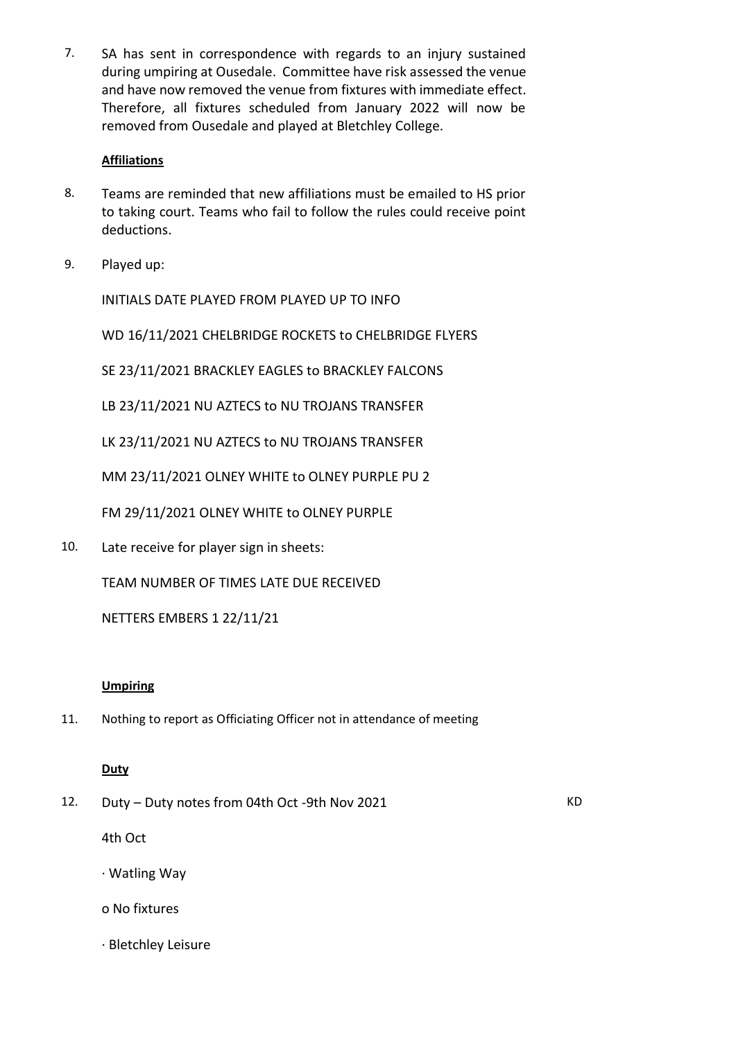7. SA has sent in correspondence with regards to an injury sustained during umpiring at Ousedale. Committee have risk assessed the venue and have now removed the venue from fixtures with immediate effect. Therefore, all fixtures scheduled from January 2022 will now be removed from Ousedale and played at Bletchley College.

## **Affiliations**

- 8. Teams are reminded that new affiliations must be emailed to HS prior to taking court. Teams who fail to follow the rules could receive point deductions.
- 9. Played up:

INITIALS DATE PLAYED FROM PLAYED UP TO INFO

WD 16/11/2021 CHELBRIDGE ROCKETS to CHELBRIDGE FLYERS

SE 23/11/2021 BRACKLEY EAGLES to BRACKLEY FALCONS

LB 23/11/2021 NU AZTECS to NU TROJANS TRANSFER

LK 23/11/2021 NU AZTECS to NU TROJANS TRANSFER

MM 23/11/2021 OLNEY WHITE to OLNEY PURPLE PU 2

FM 29/11/2021 OLNEY WHITE to OLNEY PURPLE

10. Late receive for player sign in sheets:

TEAM NUMBER OF TIMES LATE DUE RECEIVED

NETTERS EMBERS 1 22/11/21

#### **Umpiring**

11. Nothing to report as Officiating Officer not in attendance of meeting

#### **Duty**

12. Duty – Duty notes from 04th Oct -9th Nov 2021

KD

4th Oct

- · Watling Way
- o No fixtures
- · Bletchley Leisure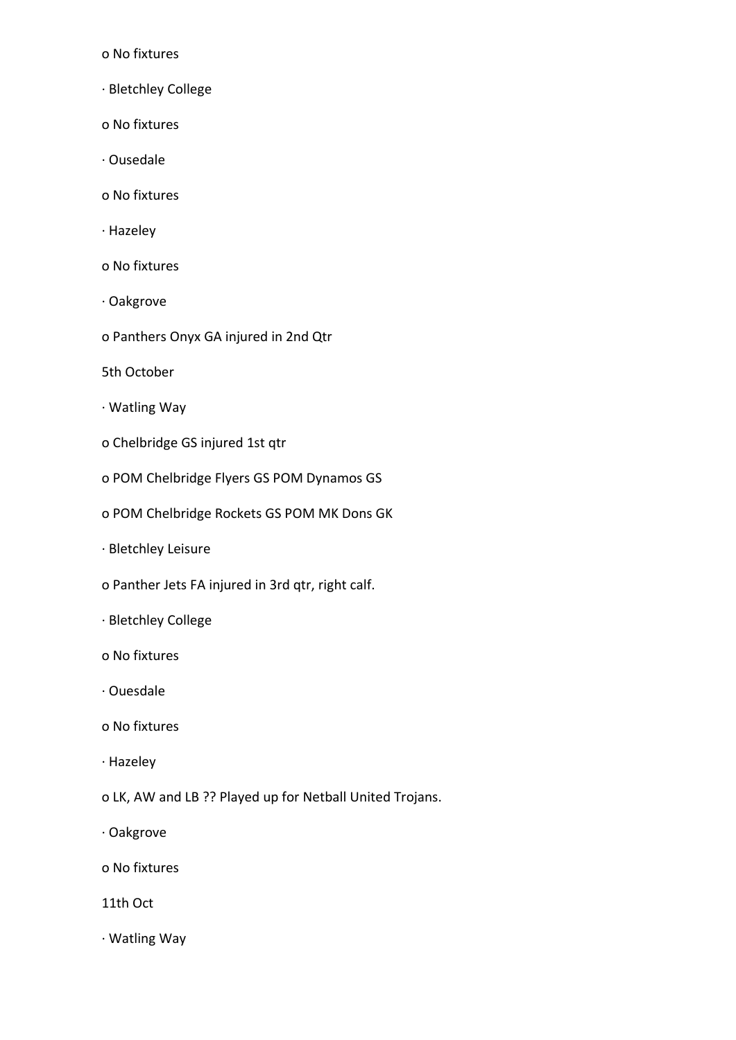o No fixtures

- · Bletchley College
- o No fixtures
- · Ousedale
- o No fixtures
- · Hazeley
- o No fixtures
- · Oakgrove
- o Panthers Onyx GA injured in 2nd Qtr
- 5th October
- · Watling Way
- o Chelbridge GS injured 1st qtr
- o POM Chelbridge Flyers GS POM Dynamos GS
- o POM Chelbridge Rockets GS POM MK Dons GK
- · Bletchley Leisure
- o Panther Jets FA injured in 3rd qtr, right calf.
- · Bletchley College
- o No fixtures
- · Ouesdale
- o No fixtures
- · Hazeley
- o LK, AW and LB ?? Played up for Netball United Trojans.
- · Oakgrove
- o No fixtures
- 11th Oct
- · Watling Way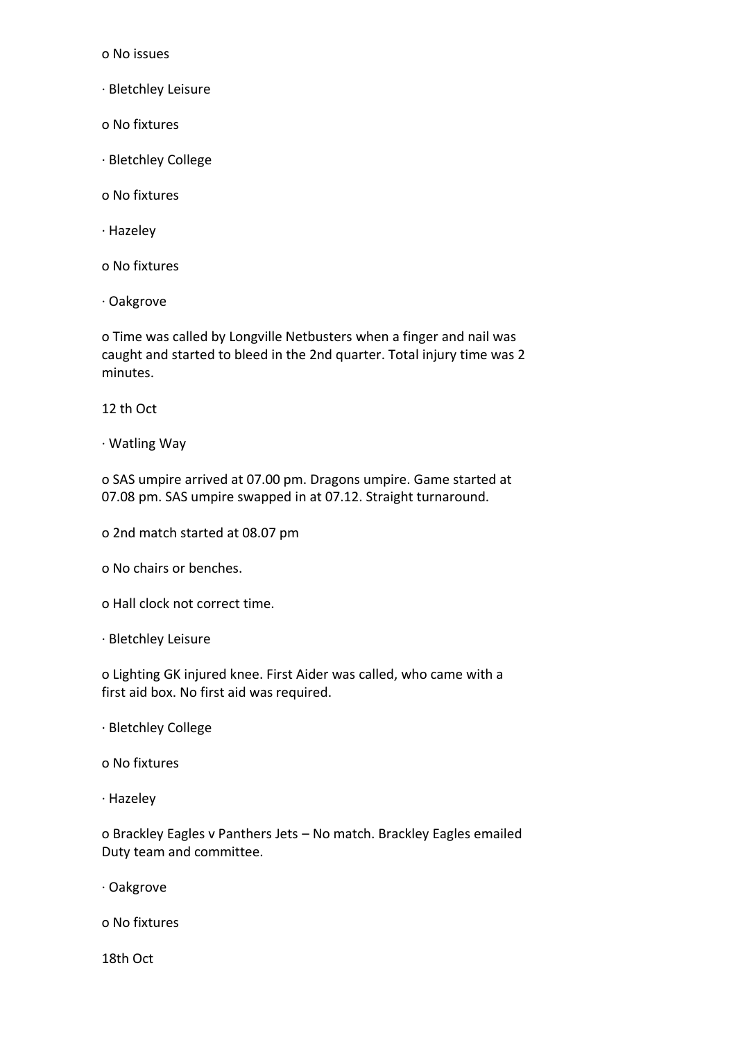o No issues

- · Bletchley Leisure
- o No fixtures
- · Bletchley College
- o No fixtures
- · Hazeley
- o No fixtures
- · Oakgrove

o Time was called by Longville Netbusters when a finger and nail was caught and started to bleed in the 2nd quarter. Total injury time was 2 minutes.

12 th Oct

· Watling Way

o SAS umpire arrived at 07.00 pm. Dragons umpire. Game started at 07.08 pm. SAS umpire swapped in at 07.12. Straight turnaround.

- o 2nd match started at 08.07 pm
- o No chairs or benches.
- o Hall clock not correct time.
- · Bletchley Leisure

o Lighting GK injured knee. First Aider was called, who came with a first aid box. No first aid was required.

- · Bletchley College
- o No fixtures
- · Hazeley

o Brackley Eagles v Panthers Jets – No match. Brackley Eagles emailed Duty team and committee.

· Oakgrove

o No fixtures

18th Oct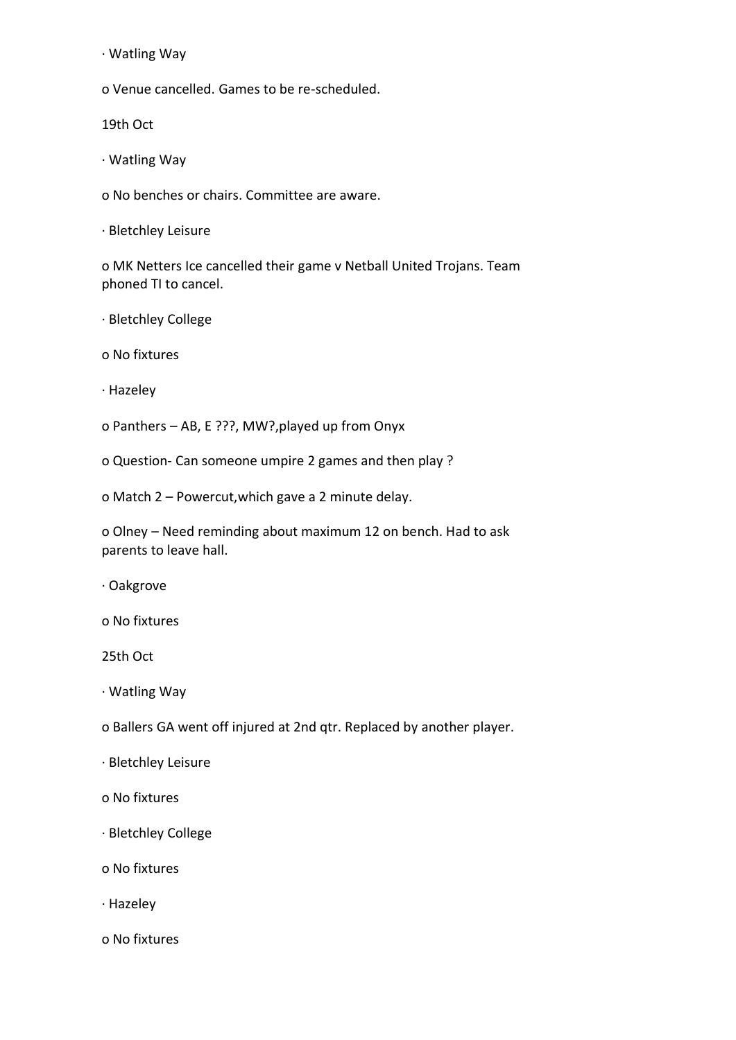· Watling Way

o Venue cancelled. Games to be re-scheduled.

19th Oct

· Watling Way

o No benches or chairs. Committee are aware.

· Bletchley Leisure

o MK Netters Ice cancelled their game v Netball United Trojans. Team phoned TI to cancel.

· Bletchley College

o No fixtures

· Hazeley

o Panthers – AB, E ???, MW?,played up from Onyx

o Question- Can someone umpire 2 games and then play ?

o Match 2 – Powercut,which gave a 2 minute delay.

o Olney – Need reminding about maximum 12 on bench. Had to ask parents to leave hall.

· Oakgrove

o No fixtures

25th Oct

· Watling Way

o Ballers GA went off injured at 2nd qtr. Replaced by another player.

- · Bletchley Leisure
- o No fixtures
- · Bletchley College
- o No fixtures
- · Hazeley
- o No fixtures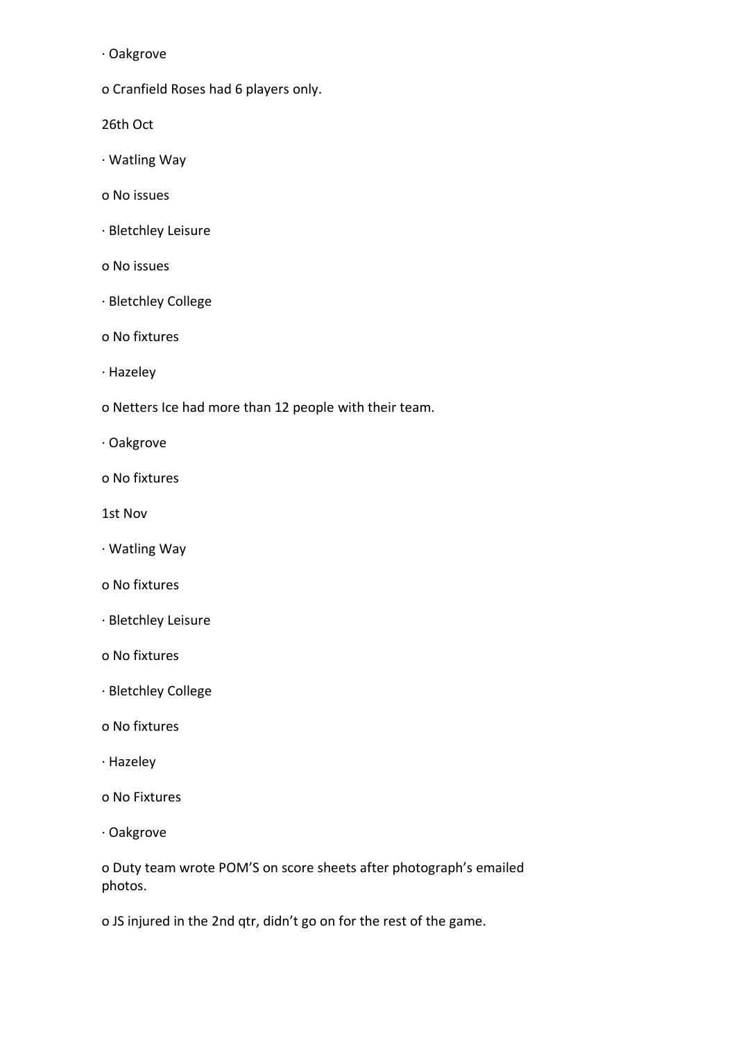· Oakgrove

o Cranfield Roses had 6 players only.

26th Oct

- · Watling Way
- o No issues
- · Bletchley Leisure
- o No issues
- · Bletchley College
- o No fixtures
- · Hazeley
- o Netters Ice had more than 12 people with their team.
- · Oakgrove
- o No fixtures
- 1st Nov
- · Watling Way
- o No fixtures
- · Bletchley Leisure
- o No fixtures
- · Bletchley College
- o No fixtures
- · Hazeley
- o No Fixtures
- · Oakgrove

o Duty team wrote POM'S on score sheets after photograph's emailed photos.

o JS injured in the 2nd qtr, didn't go on for the rest of the game.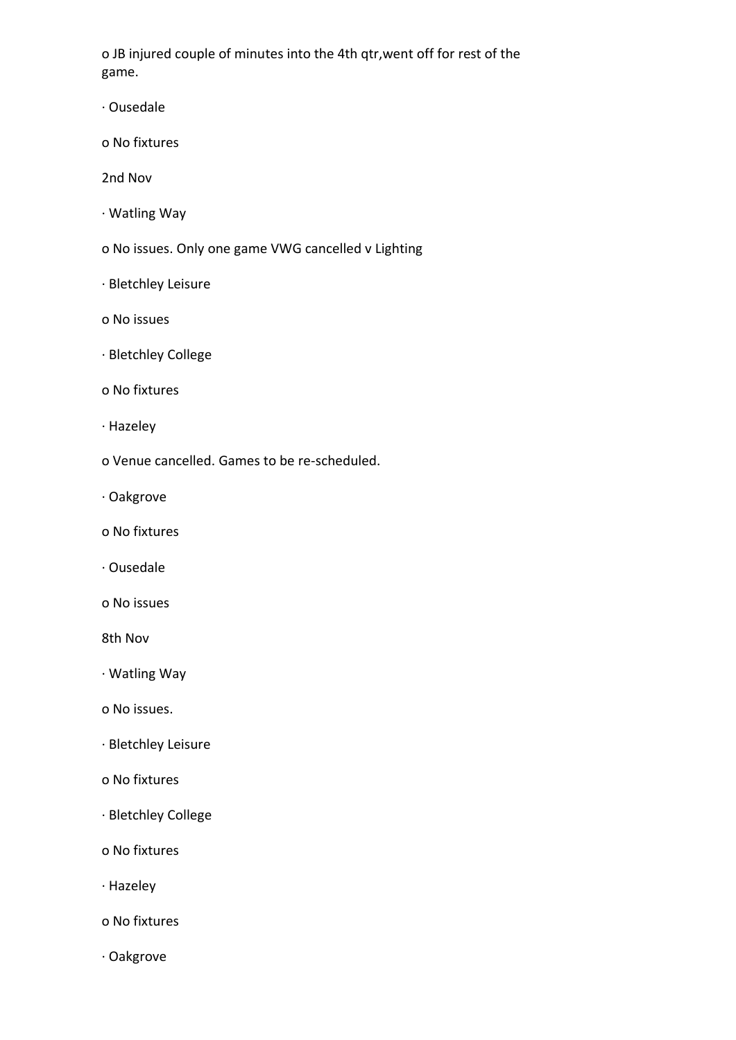o JB injured couple of minutes into the 4th qtr,went off for rest of the game.

- · Ousedale
- o No fixtures

2nd Nov

- · Watling Way
- o No issues. Only one game VWG cancelled v Lighting
- · Bletchley Leisure
- o No issues
- · Bletchley College
- o No fixtures
- · Hazeley
- o Venue cancelled. Games to be re-scheduled.
- · Oakgrove
- o No fixtures
- · Ousedale
- o No issues

8th Nov

- · Watling Way
- o No issues.
- · Bletchley Leisure
- o No fixtures
- · Bletchley College
- o No fixtures
- · Hazeley
- o No fixtures
- · Oakgrove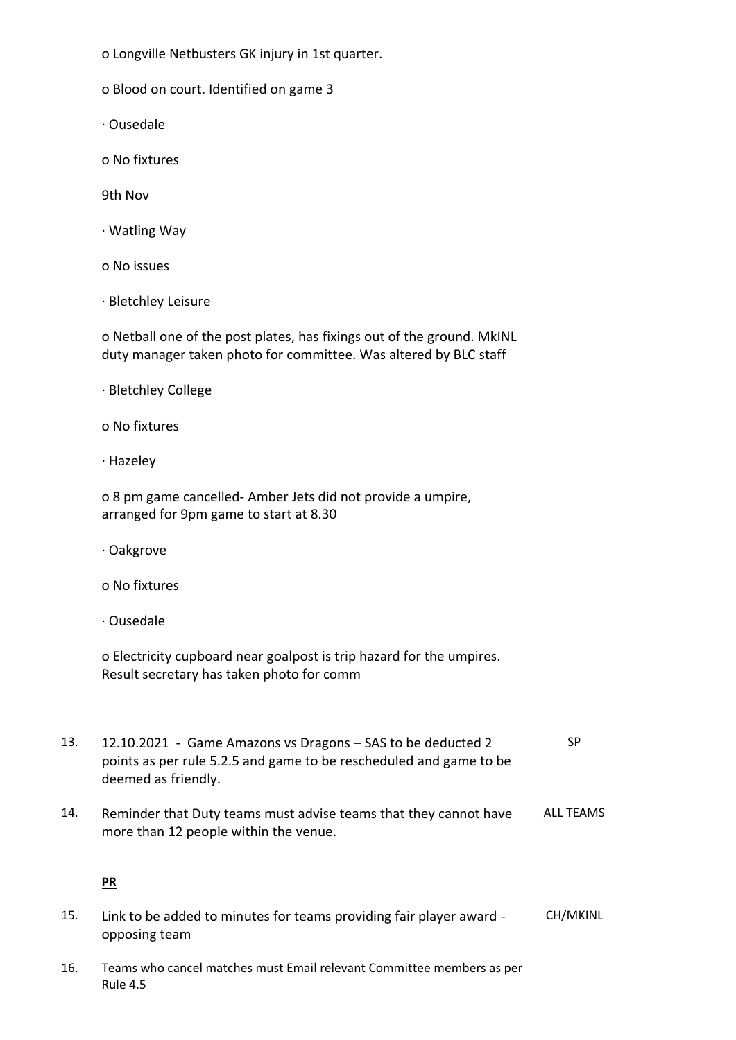o Longville Netbusters GK injury in 1st quarter.

o Blood on court. Identified on game 3

· Ousedale

o No fixtures

9th Nov

· Watling Way

o No issues

· Bletchley Leisure

o Netball one of the post plates, has fixings out of the ground. MkINL duty manager taken photo for committee. Was altered by BLC staff

|  | · Bletchley College |  |
|--|---------------------|--|
|--|---------------------|--|

o No fixtures

· Hazeley

o 8 pm game cancelled- Amber Jets did not provide a umpire, arranged for 9pm game to start at 8.30

· Oakgrove

o No fixtures

· Ousedale

o Electricity cupboard near goalpost is trip hazard for the umpires. Result secretary has taken photo for comm

- 13. 12.10.2021 Game Amazons vs Dragons SAS to be deducted 2 points as per rule 5.2.5 and game to be rescheduled and game to be deemed as friendly. SP
- 14. Reminder that Duty teams must advise teams that they cannot have more than 12 people within the venue. ALL TEAMS

## **PR**

- 15. Link to be added to minutes for teams providing fair player award opposing team CH/MKINL
- 16. Teams who cancel matches must Email relevant Committee members as per Rule 4.5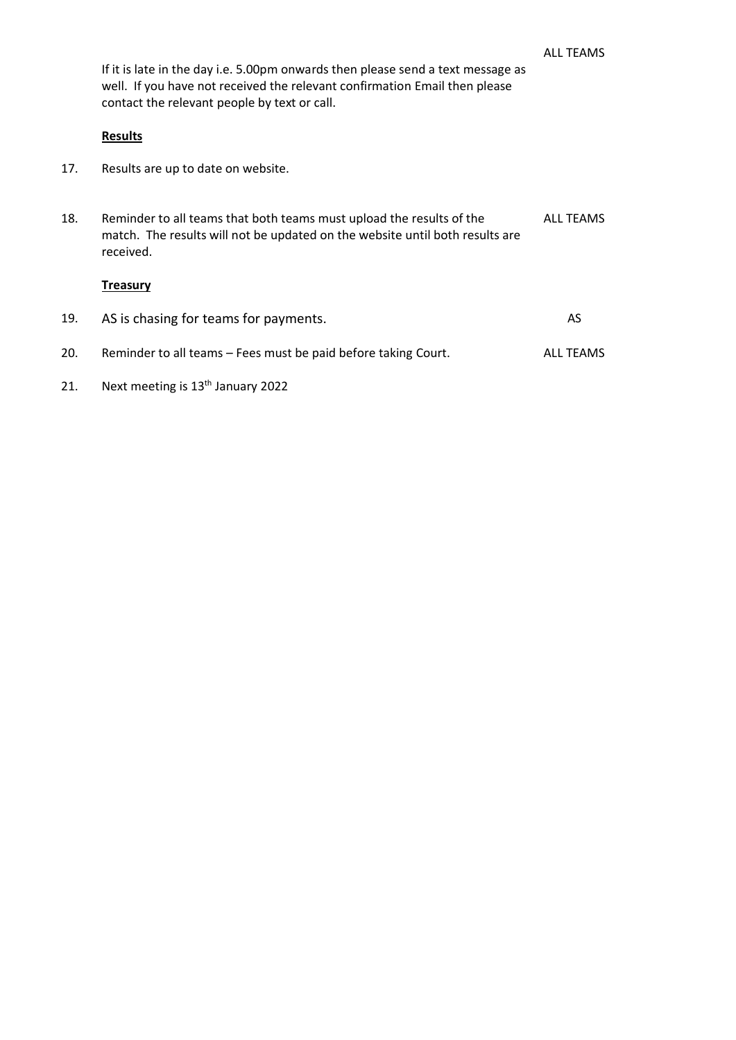If it is late in the day i.e. 5.00pm onwards then please send a text message as well. If you have not received the relevant confirmation Email then please contact the relevant people by text or call.

#### **Results**

- 17. Results are up to date on website.
- 18. Reminder to all teams that both teams must upload the results of the match. The results will not be updated on the website until both results are received. ALL TEAMS

## **Treasury**

| 19. | AS is chasing for teams for payments.                          | AS.              |
|-----|----------------------------------------------------------------|------------------|
| 20. | Reminder to all teams - Fees must be paid before taking Court. | <b>ALL TEAMS</b> |
| 21. | Next meeting is 13 <sup>th</sup> January 2022                  |                  |